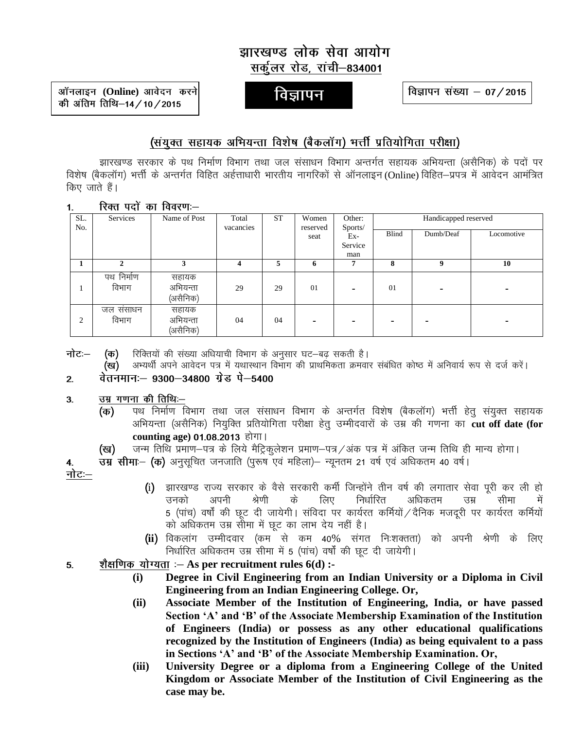# झारखण्ड लोक सेवा आयोग सर्कूलर रोड, रांची-834001

ऑनलाइन (Online) आवेदन करने की अंतिम तिथि-14/10/2015

विज्ञापन

विज्ञापन संख्या – 07 / 2015

## (संयुक्त सहायक अभियन्ता विशेष (बैकलॉग) भर्त्ती प्रतियोगिता परीक्षा)

झारखण्ड सरकार के पथ निर्माण विभाग तथा जल संसाधन विभाग अन्तर्गत सहायक अभियन्ता (असैनिक) के पदों पर विशेष (बैकलॉग) भर्त्ती के अन्तर्गत विहित अर्हत्ताधारी भारतीय नागरिकों से ऑनलाइन(Online) विहित–प्रपत्र में आवेदन आमंत्रित किए जाते हैं।

रिक्त पदों का विवरणः- $1<sup>1</sup>$ 

| SL.<br>No. | <b>Services</b>     | Name of Post                  | Total<br>vacancies | <b>ST</b> | Women<br>reserved | Other:<br>Sports/ | Handicapped reserved |           |            |  |
|------------|---------------------|-------------------------------|--------------------|-----------|-------------------|-------------------|----------------------|-----------|------------|--|
|            |                     |                               |                    |           | Ex-<br>seat       |                   | Blind                | Dumb/Deaf | Locomotive |  |
|            |                     |                               |                    |           |                   | Service           |                      |           |            |  |
|            |                     |                               |                    |           |                   | man               |                      |           |            |  |
|            |                     |                               | 4                  | 5         | 6                 |                   | 8                    | 9         | 10         |  |
|            | पथ निर्माण<br>विभाग | सहायक<br>अभियन्ता<br>(असैनिक) | 29                 | 29        | 01                | -                 | 01                   |           |            |  |
| 2          | जल ससाधन<br>विभाग   | सहायक<br>अभियन्ता<br>(असैनिक) | 04                 | 04        |                   |                   |                      |           |            |  |

नोटः– (क)

रिक्तियों की संख्या अधियाची विभाग के अनुसार घट—बढ़ सकती है।<br>अभ्यर्थी अपने आवेदन पत्र में यथास्थान विभाग की प्राथमिकता क्रमवार संबंधित कोष्ठ में अनिवार्य रूप से दर्ज करें। (ख)

#### वेतनमान:- 9300-34800 ग्रेड पे-5400  $2.$

#### उम्र गणना की तिथि:-- $3<sub>l</sub>$

- पथ निर्माण विभाग तथा जल संसाधन विभाग के अन्तर्गत विशेष (बैकलॉग) भर्त्ती हेतु संयुक्त सहायक (क) अभियन्ता (असैनिक) नियुक्ति प्रतियोगिता परीक्षा हेतू उम्मीदवारों के उम्र की गणना का cut off date (for counting age) 01.08.2013 होगा।
- जन्म तिथि प्रमाण-पत्र के लिये मैट्रिकुलेशन प्रमाण-पत्र/अंक पत्र में अंकित जन्म तिथि ही मान्य होगा। (ख)

उम्र सीमा- (क) अनुसूचित जनजाति (पुरूष एवं महिला)- न्यूनतम 21 वर्ष एवं अधिकतम 40 वर्ष। 4. नोटः $-$ 

- (i) झारखण्ड राज्य सरकार के वैसे सरकारी कर्मी जिन्होंने तीन वर्ष की लगातार सेवा पूरी कर ली हो श्रेणी के लिए निर्धारित अधिकतम उनको अपनी उम्र सीमा 5 (पांच) वर्षों की छूट दी जायेगी। संविदा पर कार्यरत कर्मियों / दैनिक मजदूरी पर कार्यरत कर्मियों को अधिकतम उम्र सोमा में छूट का लाभ देय नहीं है।
- (ii) विकलांग उम्मीदवार (कम<sup>ें</sup>से कम 40% संगत निःशक्तता) को अपनी श्रेणी के लिए<br>निर्धारित अधिकतम उम्र सीमा में 5 (पांच) वर्षों की छूट दी जायेगी।
- शैक्षणिक योग्यता :  $-$  As per recruitment rules  $6(d)$  :- $5<sub>1</sub>$ 
	- Degree in Civil Engineering from an Indian University or a Diploma in Civil  $(i)$ Engineering from an Indian Engineering College. Or,
	- Associate Member of the Institution of Engineering, India, or have passed  $(ii)$ Section 'A' and 'B' of the Associate Membership Examination of the Institution of Engineers (India) or possess as any other educational qualifications recognized by the Institution of Engineers (India) as being equivalent to a pass in Sections 'A' and 'B' of the Associate Membership Examination. Or,
	- University Degree or a diploma from a Engineering College of the United  $(iii)$ Kingdom or Associate Member of the Institution of Civil Engineering as the case may be.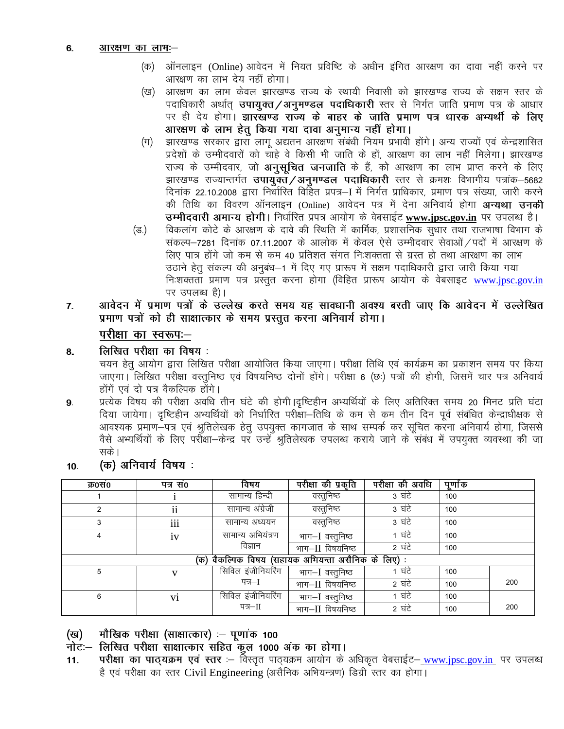- ऑनलाइन (Online) आवेदन में नियत प्रविष्टि के अधीन इंगित आरक्षण का दावा नहीं करने पर (क) आरक्षण का लाभ देय नहीं होगा।
- आरक्षण का लाभ केवल झारखण्ड राज्य के स्थायी निवासी को झारखण्ड राज्य के सक्षम स्तर के (ख) पदाधिकारी अर्थात् उपायुक्त/अनुमण्डल पदाधिकारी स्तर से निर्गत जाति प्रमाण पत्र के आधार पर ही देय होगा। झारखण्ड राज्य के बाहर के जाति प्रमाण पत्र धारक अभ्यर्थी के लिए आरक्षण के लाभ हेतु किया गया दावा अनुमान्य नहीं होगा।
- झारखण्ड सरकार द्वारा लागू अद्यतन आरक्षण संबंधी नियम प्रभावी होंगे। अन्य राज्यों एवं केन्द्रशासित (ग) प्रदेशों के उम्मीदवारों को चाहे वे किसी भी जाति के हों, आरक्षण का लाभ नहीं मिलेगा। झारखण्ड राज्य के उम्मीदवार, जो अनुसूचित जनजाति के हैं, को आरक्षण का लाभ प्राप्त करने के लिए झारखण्ड राज्यान्तर्गत उपायुक्तं/अनुमण्डल पदाधिकारी स्तर से क्रमशः विभागीय पत्रांक–5682 दिनांक 22.10.2008 द्वारा निर्धारित विहित प्रपत्र–I में निर्गत प्राधिकार, प्रमाण पत्र संख्या, जारी करने की तिथि का विवरण ऑनलाइन (Online) आवेदन पत्र में देना अनिवार्य होगा **अन्यथा उनकी** उम्मीदवारी अमान्य होगी। निर्धारित प्रपत्र आयोग के वेबसाईट www.jpsc.gov.in पर उपलब्ध है।
- विकलांग कोटे के आरक्षण के दावे की स्थिति में कार्मिक, प्रशासनिक सुधार तथा राजभाषा विभाग के (ভ.) संकल्प-7281 दिनांक 07.11.2007 के आलोक में केवल ऐसे उम्मीदवार सेवाओं / पदों में आरक्षण के लिए पात्र होंगे जो कम से कम 40 प्रतिशत संगत निःशक्तता से ग्रस्त हो तथा आरक्षण का लाभ उठाने हेतु संकल्प की अनुबंध–1 में दिए गए प्रारूप में सक्षम पदाधिकारी द्वारा जारी किया गया निःशक्तता प्रमाण पत्र प्रस्तुत करना होगा (विहित प्रारूप आयोग के वेबसाइट www.jpsc.gov.in पर उपलब्ध है)।
- आवेदन में प्रमाण पत्रों के उल्लेख करते समय यह सावधानी अवश्य बरती जाए कि आवेदन में उल्लेखित  $\overline{7}$ . प्रमाण पत्रों को ही साक्षात्कार के समय प्रस्तुत करना अनिवार्य होगा।

परीक्षा का स्वरूप:--

लिखित परीक्षा का विषय: 8.

चयन हेतू आयोग द्वारा लिखित परीक्षा आयोजित किया जाएगा। परीक्षा तिथि एवं कार्यक्रम का प्रकाशन समय पर किया जाएगा। लिखित परीक्षा वस्तुनिष्ठ एवं विषयनिष्ठ दोनों होंगे। परीक्षा 6 (छः) पत्रों की होगी, जिसमें चार पत्र अनिवार्य होंगें एवं दो पत्र वैकल्पिक होंगे।

प्रत्येक विषय की परीक्षा अवधि तीन घंटे की होगी।दृष्टिहीन अभ्यर्थियों के लिए अतिरिक्त समय 20 मिनट प्रति घंटा 9. दिया जायेगा। दृष्टिहीन अभ्यर्थियों को निर्धारित परीक्षा–तिथि के कम से कम तीन दिन पूर्व संबंधित केन्द्राधीक्षक से आवश्यक प्रमाण—पत्र एवं श्रुतिलेखक हेतु उपयुक्त कागजात के साथ सम्पर्क कर सूचित करना अनिवार्य होगा, जिससे<br>वैसे अभ्यर्थियों के लिए परीक्षा—केन्द्र पर उन्हें श्रुतिलेखक उपलब्ध कराये जाने के संबंध में उपयुक्त व्यवस्था की जा सके।

(क) अनिवार्य विषय:  $10.$ 

| क0स0                                                  | पत्र सं0                | विषय              | परीक्षा की प्रकृति | परीक्षा की अवधि | पूर्णांक |     |  |  |  |  |  |  |  |
|-------------------------------------------------------|-------------------------|-------------------|--------------------|-----------------|----------|-----|--|--|--|--|--|--|--|
|                                                       |                         | सामान्य हिन्दी    | वस्तुनिष्ठ         | 3 ਬੰਟੇ          | 100      |     |  |  |  |  |  |  |  |
| $\overline{2}$                                        | $\ddot{\mathbf{i}}$     | सामान्य अंग्रेजी  | वस्तुनिष्ठ         | 3 घंटे          | 100      |     |  |  |  |  |  |  |  |
|                                                       | iii                     | सामान्य अध्ययन    | वस्तूनिष्ठ         | 3 घंटे          | 100      |     |  |  |  |  |  |  |  |
| 4                                                     | सामान्य अभियंत्रण<br>1V |                   | भाग-I वस्तूनिष्ठ   | 1 घंटे          | 100      |     |  |  |  |  |  |  |  |
|                                                       |                         | विज्ञान           | भाग-II विषयनिष्ठ   | 2 घंटे          | 100      |     |  |  |  |  |  |  |  |
| वैकल्पिक विषय (सहायक अभियन्ता असैनिक के लिए) :<br>(क) |                         |                   |                    |                 |          |     |  |  |  |  |  |  |  |
| 5                                                     |                         | सिविल इंजीनियरिंग | भाग–I वस्तूनिष्ठ   | 1 घंटे          | 100      |     |  |  |  |  |  |  |  |
|                                                       |                         | पत्र—ा            | भाग-II विषयनिष्ठ   | 2 घंटे          | 100      | 200 |  |  |  |  |  |  |  |
| 6                                                     | vi                      | सिविल इंजीनियरिंग | भाग–I वस्तूनिष्ठ   | 1 घंटे          | 100      |     |  |  |  |  |  |  |  |
|                                                       |                         | पत्र−II           | भाग-II विषयनिष्ठ   | 2 घंटे          | 100      | 200 |  |  |  |  |  |  |  |

मौखिक परीक्षा (साक्षात्कार) :- पूणांक 100 (ख)

नोटः – लिखित परीक्षा साक्षात्कार सहित कुल 1000 अंक का होगा।

परीक्षा का पाठ्यक्रम एवं स्तर :- विस्तृत पाठ्यक्रम आयोग के अधिकृत वेबसाईट- www.jpsc.gov.in पर उपलब्ध  $11.$ है एवं परीक्षा का स्तर Civil Engineering (असैनिक अभियन्त्रण) डिग्री स्तर का होगा।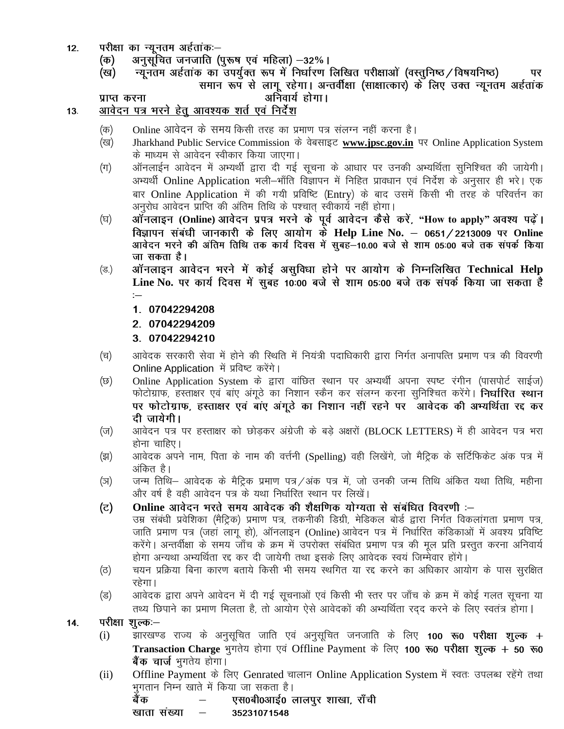- परीक्षा का न्यूनतम अर्हताक:-- $12.$ 
	- अनुसूचित जनजाति (पुरूष एवं महिला) –32%। (क)
	- न्यूनतम अर्हताक का उपर्युक्त रूप में निर्धारण लिखित परीक्षाओं (वस्तुनिष्ठ / विषयनिष्ठ) (ख) पर समान रूप से लागू रहेगा। अन्तर्वीक्षा (साक्षात्कार) के लिए उक्त न्यूनतम अर्हताक अनिवार्य होगा।

प्राप्त करना

#### आवेदन पत्र भरने हेतू आवश्यक शर्त एवं निर्देश  $13.$

- Online आवेदन के समय किसी तरह का प्रमाण पत्र संलग्न नहीं करना है। (क)
- Jharkhand Public Service Commission के वेबसाइट www.jpsc.gov.in पर Online Application System (ख) के माध्यम से आवेदन स्वीकार किया जाएगा।
- ऑनलाईन आवेदन में अभ्यर्थी द्वारा दी गई सूचना के आधार पर उनकी अभ्यर्थिता सुनिश्चित की जायेगी।  $(\pi)$ अभ्यर्थी Online Application भली-भाँति विज्ञापन में निहित प्रावधान एवं निर्देश के अनुसार ही भरे। एक बार Online Application में की गयी प्रविष्टि (Entry) के बाद उसमें किसी भी तरह के परिवर्त्तन का अनुरोध आवेदन प्राप्ति की अंतिम तिथि के पश्चात् स्वीकार्य नहीं होगा।
- ऑनलाइन (Online) आवेदन प्रपत्र भरने के पूर्व आवेदन कैसे करें, "How to apply" अवश्य पढ़ें। (घ) विज्ञापन संबंधी जानकारी के लिए आयोग के Help Line No. – 0651/2213009 पर Online आवेदन भरने की अंतिम तिथि तक कार्य दिवस में सुबह-10.00 बजे से शाम 05:00 बजे तक संपर्क किया जा सकता है।
- ऑनलाइन आवेदन भरने में कोई असुविधा होने पर आयोग के निम्नलिखित Technical Help  $(\overline{s})$ Line No. पर कार्य दिवस में सुबह 10:00 बजे से शाम 05:00 बजे तक संपर्क किया जा सकता है  $\mathrel{\mathop:}=$ 
	- 1. 07042294208
	- 2. 07042294209
	- 3. 07042294210
- आवेदक सरकारी सेवा में होने की स्थिति में नियंत्री पदाधिकारी द्वारा निर्गत अनापत्ति प्रमाण पत्र की विवरणी (च) Online Application में प्रविष्ट करेंगे।
- Online Application System के द्वारा वांछित स्थान पर अभ्यर्थी अपना स्पष्ट रंगीन (पासपोर्ट साईज) (छ) फोटोग्राफ, हस्ताक्षर एवं बांए अंगूठे का निशान स्कैन कर संलग्न करना सुनिश्चित करेंगे। **निर्धारित स्थान** पर फोटोग्राफ, हस्ताक्षर एवं बाए अंगूठे का निशान नहीं रहने पर आवेदक की अभ्यर्थिता रद्द कर दी जायेगी।
- आवेदन पत्र पर हस्ताक्षर को छोड़कर अंग्रेजी के बड़े अक्षरों (BLOCK LETTERS) में ही आवेदन पत्र भरा (ज) होना चाहिए।
- आवेदक अपने नाम, पिता के नाम की वर्त्तनी (Spelling) वही लिखेंगे, जो मैट्रिक के सर्टिफिकेट अंक पत्र में (झ) अंकित है।
- जन्म तिथि– आवेदक के मैट्रिक प्रमाण पत्र /अंक पत्र में, जो उनकी जन्म तिथि अंकित यथा तिथि, महीना (স) और वर्ष है वही आवेदन पत्र के यथा निर्धारित स्थान पर लिखें।
- Online आवेदन भरते समय आवेदक की शैक्षणिक योग्यता से संबंधित विवरणी :-(ਟ)
- उम्र संबंधी प्रवेशिका (मैट्रिक) प्रमाण पत्र, तकनीकी डिग्री, मेडिकल बोर्ड द्वारा निर्गत विकलांगता प्रमाण पत्र, जाति प्रमाण पत्र (जहां लागू हो), ऑनलाइन (Online) आवेदन पत्र में निर्धारित कंडिकाओं में अवश्य प्रविष्टि करेंगे। अन्तर्वीक्षा के समय जाँच के क्रम में उपरोक्त संबंधित प्रमाण पत्र की मूल प्रति प्रस्तुत करना अनिवार्य होगा अन्यथा अभ्यर्थिता रद्द कर दी जायेगी तथा इसके लिए आवेदक स्वयं जिम्मेवार होंगे।
- चयन प्रक्रिया बिना कारण बताये किसी भी समय स्थगित या रद्द करने का अधिकार आयोग के पास सुरक्षित (ਰ) रहेगा।
- आवेदक द्वारा अपने आवेदन में दी गई सूचनाओं एवं किसी भी स्तर पर जाँच के क्रम में कोई गलत सूचना या (ड) तथ्य छिपाने का प्रमाण मिलता है, तो आयोग ऐसे आवेदकों की अभ्यर्थिता रदद करने के लिए स्वतंत्र होगा।
- परीक्षा शुल्क:— 14.
	- झारखण्ड राज्य के अनुसूचित जाति एवं अनुसूचित जनजाति के लिए 100 **रू0 परीक्षा शुल्क** +  $(i)$ Transaction Charge भुगतेय होगा एवं Offline Payment के लिए 100 रु0 परीक्षा शुल्क + 50 रु0 बैंक चार्ज भुगतेय होगा।
	- Offline Payment के लिए Genrated चालान Online Application System में स्वतः उपलब्ध रहेंगे तथा  $(ii)$ भुगतान निम्न खाते में किया जा सकता है। एस0बी0आई0 लालपुर शाखा, राँची बैंक

खाता संख्या  $\overline{\phantom{m}}$ 

35231071548